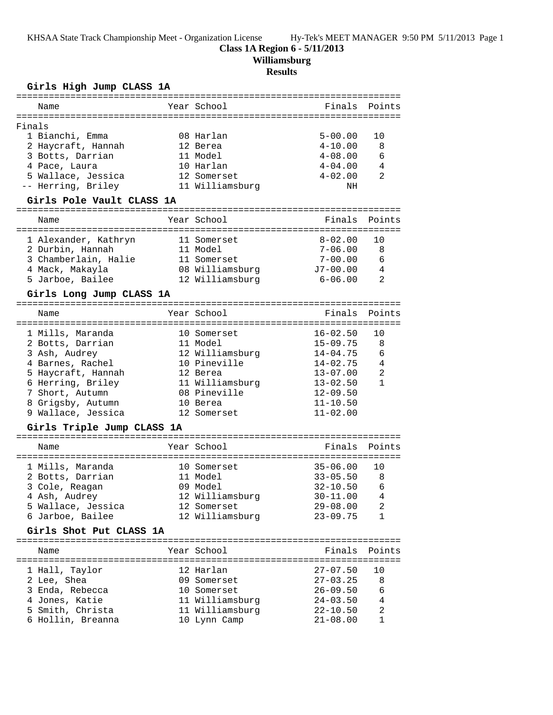KHSAA State Track Championship Meet - Organization License Hy-Tek's MEET MANAGER 9:50 PM 5/11/2013 Page 1

## **Class 1A Region 6 - 5/11/2013**

**Williamsburg**

## **Results**

#### **Girls High Jump CLASS 1A**

|        | Name                      |  | Year School     |                | Finals Points  |  |  |
|--------|---------------------------|--|-----------------|----------------|----------------|--|--|
| Finals |                           |  |                 |                |                |  |  |
|        | 1 Bianchi, Emma           |  | 08 Harlan       | $5 - 00.00$    | 10             |  |  |
|        | 2 Haycraft, Hannah        |  | 12 Berea        | $4 - 10.00$    | -8             |  |  |
|        | 3 Botts, Darrian          |  | 11 Model        | $4 - 08.00$    | 6              |  |  |
|        | 4 Pace, Laura             |  | 10 Harlan       | $4 - 04.00$    | $\overline{4}$ |  |  |
|        | 5 Wallace, Jessica        |  | 12 Somerset     | $4 - 02.00$    | $\mathfrak{D}$ |  |  |
|        | -- Herring, Briley        |  | 11 Williamsburg | ΝH             |                |  |  |
|        | Girls Pole Vault CLASS 1A |  |                 |                |                |  |  |
|        | Name                      |  | Year School     | Finals         | Points         |  |  |
|        | 1 Alexander, Kathryn      |  | 11 Somerset     | $8 - 02.00$ 10 |                |  |  |
|        | 2 Durbin, Hannah          |  | 11 Model        | $7 - 06.00$ 8  |                |  |  |
|        | 3 Chamberlain, Halie      |  | 11 Somerset     | $7 - 00.00$    | 6              |  |  |

# **Girls Long Jump CLASS 1A**

| Finals Points<br>Year School<br>Name<br>1 Mills, Maranda<br>$16 - 02.50$<br>10<br>10 Somerset<br>$15 - 09.75$<br>8<br>2 Botts, Darrian<br>11 Model<br>12 Williamsburg<br>6<br>$14 - 04.75$<br>3 Ash, Audrey<br>10 Pineville<br>$\overline{4}$<br>$14 - 02.75$<br>4 Barnes, Rachel<br>$\mathfrak{D}$<br>$13 - 07.00$<br>5 Haycraft, Hannah<br>12 Berea<br>6 Herring, Briley<br>11 Williamsburg<br>$13 - 02.50$<br>08 Pineville<br>$12 - 09.50$<br>7 Short, Autumn<br>$11 - 10.50$<br>8 Grigsby, Autumn<br>10 Berea |  |  |  |
|-------------------------------------------------------------------------------------------------------------------------------------------------------------------------------------------------------------------------------------------------------------------------------------------------------------------------------------------------------------------------------------------------------------------------------------------------------------------------------------------------------------------|--|--|--|
|                                                                                                                                                                                                                                                                                                                                                                                                                                                                                                                   |  |  |  |
| $11 - 02.00$<br>9 Wallace, Jessica<br>12 Somerset                                                                                                                                                                                                                                                                                                                                                                                                                                                                 |  |  |  |

 4 Mack, Makayla 08 Williamsburg J7-00.00 4 5 Jarboe, Bailee 12 Williamsburg 6-06.00 2

#### **Girls Triple Jump CLASS 1A**

| Name               | Year School     | Finals Points |                |
|--------------------|-----------------|---------------|----------------|
| 1 Mills, Maranda   | 10 Somerset     | $35 - 06.00$  | 10             |
| 2 Botts, Darrian   | 11 Model        | $33 - 05.50$  | 8              |
| 3 Cole, Reagan     | 09 Model        | $32 - 10.50$  | 6              |
| 4 Ash, Audrey      | 12 Williamsburg | $30 - 11.00$  | $\overline{4}$ |
| 5 Wallace, Jessica | 12 Somerset     | $29 - 08.00$  | $\mathfrak{D}$ |
| 6 Jarboe, Bailee   | 12 Williamsburg | $23 - 09.75$  |                |
|                    |                 |               |                |

#### **Girls Shot Put CLASS 1A**

| Name              | Year School     | Finals Points |                |
|-------------------|-----------------|---------------|----------------|
| 1 Hall, Taylor    | 12 Harlan       | $27 - 07.50$  | 1 O            |
| 2 Lee, Shea       | 09 Somerset     | $27 - 03.25$  | 8              |
| 3 Enda, Rebecca   | 10 Somerset     | $26 - 09.50$  | 6              |
| 4 Jones, Katie    | 11 Williamsburg | $24 - 03.50$  | $\overline{4}$ |
| 5 Smith, Christa  | 11 Williamsburg | $22 - 10.50$  | 2              |
| 6 Hollin, Breanna | 10 Lynn Camp    | $21 - 08.00$  |                |
|                   |                 |               |                |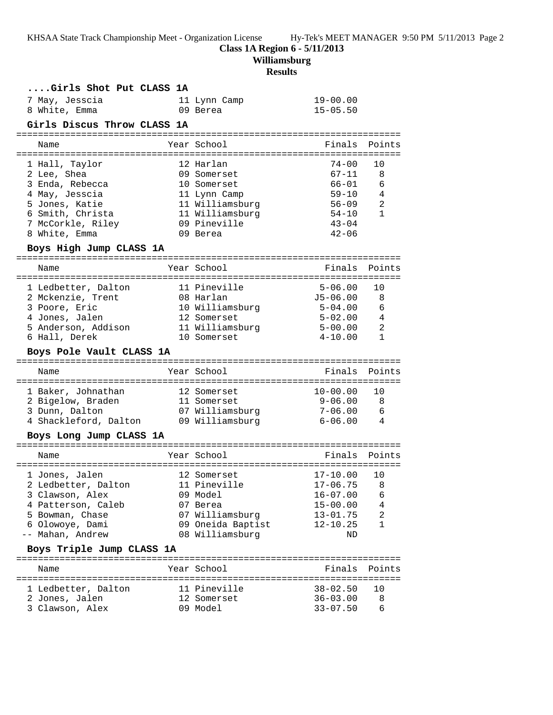KHSAA State Track Championship Meet - Organization License Hy-Tek's MEET MANAGER 9:50 PM 5/11/2013 Page 2

**Class 1A Region 6 - 5/11/2013**

**Williamsburg**

# **Results**

| Points                                      |
|---------------------------------------------|
| 10                                          |
| 8                                           |
| 6                                           |
| $\overline{4}$                              |
| -2                                          |
| 1                                           |
|                                             |
|                                             |
|                                             |
|                                             |
| Points                                      |
|                                             |
|                                             |
| 10                                          |
| - 8                                         |
| 6                                           |
| $5 - 02.00$ 4                               |
| 11 Williamsburg 5-00.00 2<br>1              |
|                                             |
|                                             |
| Points                                      |
|                                             |
| 10                                          |
| $9 - 06.00$ 8                               |
| $7 - 06.00$ 6                               |
| $\overline{4}$                              |
|                                             |
| Points                                      |
|                                             |
| 10                                          |
| 2 Ledbetter, Dalton 11 Pineville 17-06.75 8 |
| 6<br>4                                      |
| 2                                           |
| $\mathbf{1}$                                |
|                                             |
|                                             |
|                                             |
| Points                                      |
| 10                                          |
| 8                                           |
| $66 - 01$                                   |